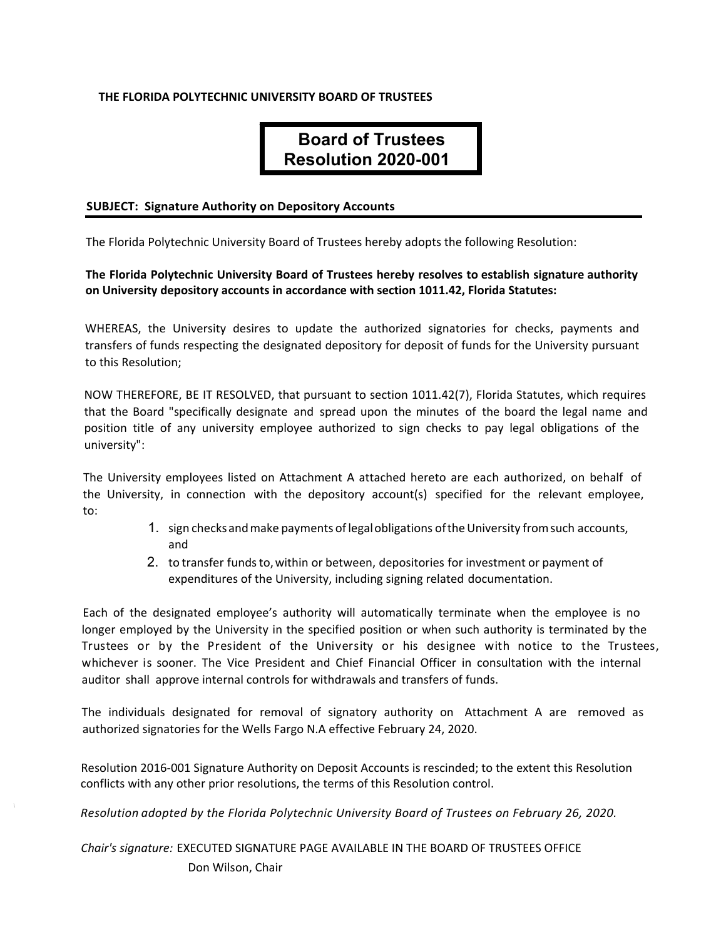### **THE FLORIDA POLYTECHNIC UNIVERSITY BOARD OF TRUSTEES**

# **Board of Trustees Resolution 2020-001**

#### **SUBJECT: Signature Authority on Depository Accounts**

The Florida Polytechnic University Board of Trustees hereby adopts the following Resolution:

## **The Florida Polytechnic University Board of Trustees hereby resolves to establish signature authority on University depository accounts in accordance with section 1011.42, Florida Statutes:**

WHEREAS, the University desires to update the authorized signatories for checks, payments and transfers of funds respecting the designated depository for deposit of funds for the University pursuant to this Resolution;

NOW THEREFORE, BE IT RESOLVED, that pursuant to section 1011.42(7), Florida Statutes, which requires that the Board "specifically designate and spread upon the minutes of the board the legal name and position title of any university employee authorized to sign checks to pay legal obligations of the university":

The University employees listed on Attachment A attached hereto are each authorized, on behalf of the University, in connection with the depository account(s) specified for the relevant employee, to:

- 1. sign checks and make payments of legal obligations of the University from such accounts, and
- 2. to transfer funds to, within or between, depositories for investment or payment of expenditures of the University, including signing related documentation.

Each of the designated employee's authority will automatically terminate when the employee is no longer employed by the University in the specified position or when such authority is terminated by the Trustees or by the President of the University or his designee with notice to the Trustees, whichever is sooner. The Vice President and Chief Financial Officer in consultation with the internal auditor shall approve internal controls for withdrawals and transfers of funds.

The individuals designated for removal of signatory authority on Attachment A are removed as authorized signatories for the Wells Fargo N.A effective February 24, 2020.

Resolution 2016-001 Signature Authority on Deposit Accounts is rescinded; to the extent this Resolution conflicts with any other prior resolutions, the terms of this Resolution control.

*Resolution adopted by the Florida Polytechnic University Board of Trustees on February 26, 2020.* 

*Chair's signature:* EXECUTED SIGNATURE PAGE AVAILABLE IN THE BOARD OF TRUSTEES OFFICE Don Wilson, Chair